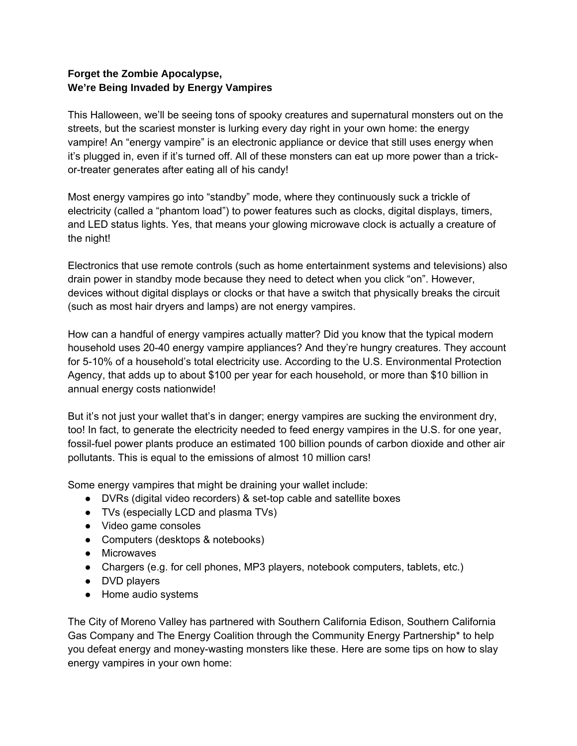## **Forget the Zombie Apocalypse, We're Being Invaded by Energy Vampires**

This Halloween, we'll be seeing tons of spooky creatures and supernatural monsters out on the streets, but the scariest monster is lurking every day right in your own home: the energy vampire! An "energy vampire" is an electronic appliance or device that still uses energy when it's plugged in, even if it's turned off. All of these monsters can eat up more power than a trickor-treater generates after eating all of his candy!

Most energy vampires go into "standby" mode, where they continuously suck a trickle of electricity (called a "phantom load") to power features such as clocks, digital displays, timers, and LED status lights. Yes, that means your glowing microwave clock is actually a creature of the night!

Electronics that use remote controls (such as home entertainment systems and televisions) also drain power in standby mode because they need to detect when you click "on". However, devices without digital displays or clocks or that have a switch that physically breaks the circuit (such as most hair dryers and lamps) are not energy vampires.

How can a handful of energy vampires actually matter? Did you know that the typical modern household uses 20-40 energy vampire appliances? And they're hungry creatures. They account for 5-10% of a household's total electricity use. According to the U.S. Environmental Protection Agency, that adds up to about \$100 per year for each household, or more than \$10 billion in annual energy costs nationwide!

But it's not just your wallet that's in danger; energy vampires are sucking the environment dry, too! In fact, to generate the electricity needed to feed energy vampires in the U.S. for one year, fossil-fuel power plants produce an estimated 100 billion pounds of carbon dioxide and other air pollutants. This is equal to the emissions of almost 10 million cars!

Some energy vampires that might be draining your wallet include:

- DVRs (digital video recorders) & set-top cable and satellite boxes
- TVs (especially LCD and plasma TVs)
- Video game consoles
- Computers (desktops & notebooks)
- Microwaves
- Chargers (e.g. for cell phones, MP3 players, notebook computers, tablets, etc.)
- DVD players
- Home audio systems

The City of Moreno Valley has partnered with Southern California Edison, Southern California Gas Company and The Energy Coalition through the Community Energy Partnership\* to help you defeat energy and money-wasting monsters like these. Here are some tips on how to slay energy vampires in your own home: